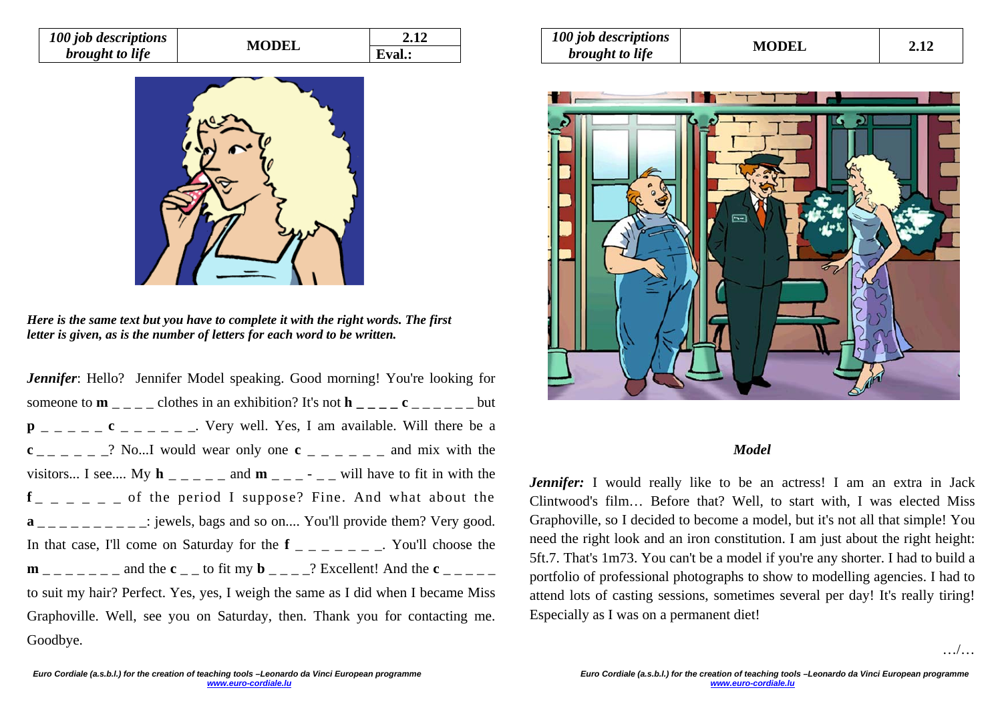| 100 job descriptions   | <b>MODEL</b> |        |
|------------------------|--------------|--------|
| <i>brought to life</i> |              | Eval.: |



*Here is the same text but you have to complete it with the right words. The first letter is given, as is the number of letters for each word to be written.* 

*Jennifer*: Hello? Jennifer Model speaking. Good morning! You're looking for someone to  $\mathbf{m}_{-}$   $\mathbf{m}_{-}$  clothes in an exhibition? It's not  $\mathbf{h}_{-}$   $\mathbf{c}_{-}$   $\mathbf{c}_{-}$   $\mathbf{c}_{-}$  but  $p$  \_ \_ \_ \_ \_ c \_ \_ \_ \_ \_ \_ \_ Very well. Yes, I am available. Will there be a  $c_{-}$   $c_{-}$   $c_{-}$   $c_{-}$   $c_{-}$ ? No...I would wear only one  $c_{-}$   $c_{-}$   $c_{-}$   $c_{-}$  and mix with the visitors... I see.... My  $h$   $\overline{\phantom{a}}$   $\overline{\phantom{a}}$  and  $\overline{\phantom{a}}$   $\overline{\phantom{a}}$   $\overline{\phantom{a}}$   $\overline{\phantom{a}}$   $\overline{\phantom{a}}$   $\overline{\phantom{a}}$   $\overline{\phantom{a}}$   $\overline{\phantom{a}}$   $\overline{\phantom{a}}$  and  $\overline{\phantom{a}}$   $\overline{\phantom{a}}$   $\overline{\phantom{a}}$   $\overline{\phantom{a}}$  and  $f_{-}$   $=$   $=$   $-$  of the period I suppose? Fine. And what about the  $\mathbf{a}_{\text{max}} = \mathbf{a}_{\text{max}} = \mathbf{a}_{\text{max}}$  iewels, bags and so on.... You'll provide them? Very good. In that case, I'll come on Saturday for the  $f_{-}$   $=$   $\sim$   $\sim$  You'll choose the  $\mathbf{m}$   $_{\text{max}}$   $_{\text{max}}$  and the  $\mathbf{c}$   $_{\text{max}}$  to fit my  $\mathbf{b}$   $_{\text{max}}$  2 Excellent! And the  $\mathbf{c}$   $_{\text{max}}$ to suit my hair? Perfect. Yes, yes, I weigh the same as I did when I became Miss Graphoville. Well, see you on Saturday, then. Thank you for contacting me. Goodbye.

| 100 job descriptions<br><i>brought to life</i> | <b>MODEL</b> | 2.12 |
|------------------------------------------------|--------------|------|
|------------------------------------------------|--------------|------|



## *Model*

*Jennifer:* I would really like to be an actress! I am an extra in Jack Clintwood's film… Before that? Well, to start with, I was elected Miss Graphoville, so I decided to become a model, but it's not all that simple! You need the right look and an iron constitution. I am just about the right height: 5ft.7. That's 1m73. You can't be a model if you're any shorter. I had to build a portfolio of professional photographs to show to modelling agencies. I had to attend lots of casting sessions, sometimes several per day! It's really tiring! Especially as I was on a permanent diet!

…/…